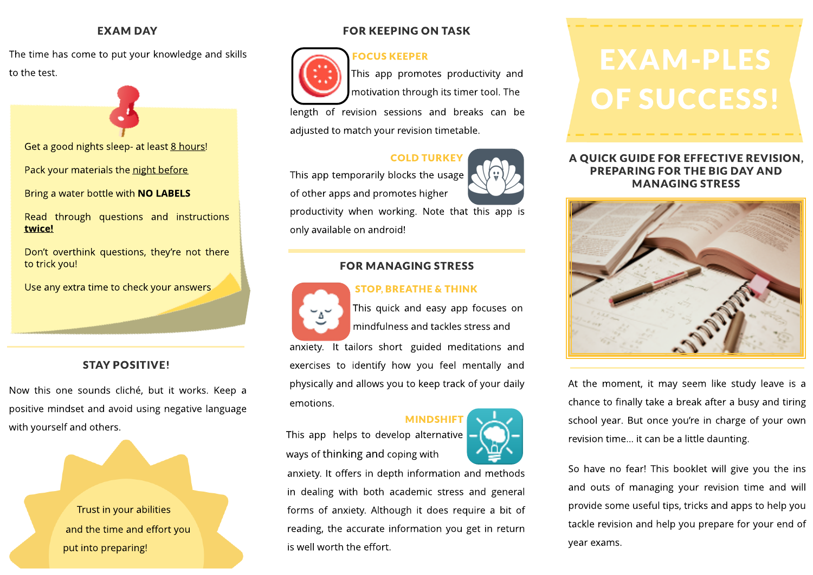# **EXAM DAY**

The time has come to put your knowledge and skills The time has come to put your knowledge and skills  $\overline{C}$  **FOCUS KEEPER** to the test.

Get a good nights sleep- at least 8 hours!

Pack your materials the night before

Bring a water bottle with **NO LABELS** 

Read through questions and instructions twice!

Don't overthink questions, they're not there to trick you!

Use any extra time to check your answers

# STAY POSITIVE!

Now this one sounds cliché, but it works. Keep a positive mindset and avoid using negative language with yourself and others.

> Trust in your abilities and the time and effort you put into preparing!

# FOR KEEPING ON TASK

# FOCUSKEEPER



This app promotes productivity and motivation through its timer tool. The

length of revision sessions and breaks can be adjusted to match your revision timetable.

# COLD TURKEY

This app temporarily blocks the usage

of other apps and promotes higher



productivity when working. Note that this app is only available on android!

# **FOR MANAGING STRESS**

# STOP, BREATHE& THINK



emotions.

This quick and easy app focuses on mindfulness and tackles stress and anxiety. It tailors short guided meditations and exercises to identify how you feel mentally and physically and allows you to keep track of your daily

**MINDSHIF** 

This app helps to develop alternative ways of thinking and coping with



# A QUICK GUIDE FOR EFFECTIVE REVISION, PREPARING FOR THEBIG DAY AND M ANAGING STRESS



At the moment, it may seem like study leave is a chance to finally take a break after a busy and tiring school year. But once you're in charge of your own revision time... it can be a little daunting.

So have no fear! This booklet will give you the ins and outs of managing your revision time and will provide some useful tips, tricks and apps to help you tackle revision and help you prepare for your end of year exams.